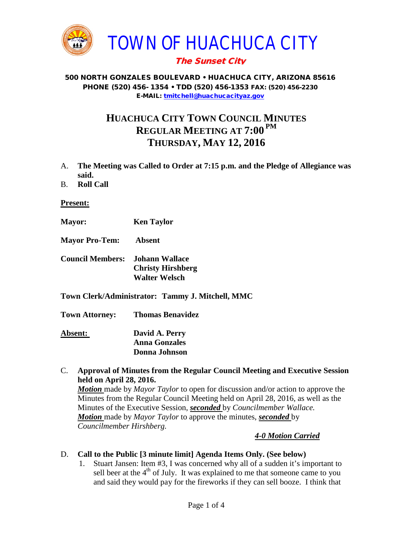

# The Sunset City

#### 500 NORTH GONZALES BOULEVARD • HUACHUCA CITY, ARIZONA 85616 PHONE (520) 456- 1354 • TDD (520) 456-1353 FAX: (520) 456-2230 E-MAIL: [tmitchell@huachucacityaz.gov](mailto:tmitchell@huachucacityaz.gov)

# **HUACHUCA CITY TOWN COUNCIL MINUTES REGULAR MEETING AT 7:00 PM THURSDAY, MAY 12, 2016**

- A. **The Meeting was Called to Order at 7:15 p.m. and the Pledge of Allegiance was said.**
- B. **Roll Call**

**Present:**

**Mayor: Ken Taylor**

**Mayor Pro-Tem: Absent**

- **Council Members: Johann Wallace Christy Hirshberg Walter Welsch**
- **Town Clerk/Administrator: Tammy J. Mitchell, MMC**

**Town Attorney: Thomas Benavidez**

**Absent: David A. Perry Anna Gonzales Donna Johnson**

C. **Approval of Minutes from the Regular Council Meeting and Executive Session held on April 28, 2016.**

*Motion* made by *Mayor Taylor* to open for discussion and/or action to approve the Minutes from the Regular Council Meeting held on April 28, 2016, as well as the Minutes of the Executive Session, *seconded* by *Councilmember Wallace. Motion* made by *Mayor Taylor* to approve the minutes, *seconded* by *Councilmember Hirshberg.*

#### *4-0 Motion Carried*

#### D. **Call to the Public [3 minute limit] Agenda Items Only. (See below)**

1. Stuart Jansen: Item #3, I was concerned why all of a sudden it's important to sell beer at the  $4<sup>th</sup>$  of July. It was explained to me that someone came to you and said they would pay for the fireworks if they can sell booze. I think that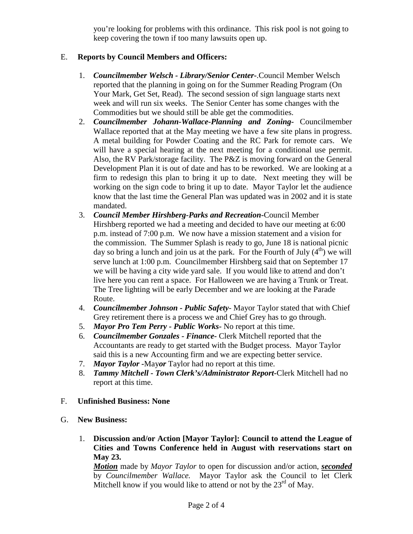you're looking for problems with this ordinance. This risk pool is not going to keep covering the town if too many lawsuits open up.

## E. **Reports by Council Members and Officers:**

- 1. *Councilmember Welsch - Library/Senior Center***-**.Council Member Welsch reported that the planning in going on for the Summer Reading Program (On Your Mark, Get Set, Read). The second session of sign language starts next week and will run six weeks. The Senior Center has some changes with the Commodities but we should still be able get the commodities.
- 2. *Councilmember Johann-Wallace-Planning and Zoning***-** Councilmember Wallace reported that at the May meeting we have a few site plans in progress. A metal building for Powder Coating and the RC Park for remote cars. We will have a special hearing at the next meeting for a conditional use permit. Also, the RV Park/storage facility. The P&Z is moving forward on the General Development Plan it is out of date and has to be reworked. We are looking at a firm to redesign this plan to bring it up to date. Next meeting they will be working on the sign code to bring it up to date. Mayor Taylor let the audience know that the last time the General Plan was updated was in 2002 and it is state mandated.
- 3. *Council Member Hirshberg-Parks and Recreation***-**Council Member Hirshberg reported we had a meeting and decided to have our meeting at 6:00 p.m. instead of 7:00 p.m. We now have a mission statement and a vision for the commission. The Summer Splash is ready to go, June 18 is national picnic day so bring a lunch and join us at the park. For the Fourth of July  $(4<sup>th</sup>)$  we will serve lunch at 1:00 p.m. Councilmember Hirshberg said that on September 17 we will be having a city wide yard sale. If you would like to attend and don't live here you can rent a space. For Halloween we are having a Trunk or Treat. The Tree lighting will be early December and we are looking at the Parade Route.
- 4. *Councilmember Johnson - Public Safety-* Mayor Taylor stated that with Chief Grey retirement there is a process we and Chief Grey has to go through.
- 5. *Mayor Pro Tem Perry - Public Works-* No report at this time.
- 6. *Councilmember Gonzales - Finance-* Clerk Mitchell reported that the Accountants are ready to get started with the Budget process. Mayor Taylor said this is a new Accounting firm and we are expecting better service.
- 7. *Mayor Taylor -*May*or* Taylor had no report at this time.
- 8. *Tammy Mitchell - Town Clerk's/Administrator Report-*Clerk Mitchell had no report at this time.
- F. **Unfinished Business: None**
- G. **New Business:** 
	- 1. **Discussion and/or Action [Mayor Taylor]: Council to attend the League of Cities and Towns Conference held in August with reservations start on May 23.**

*Motion* made by *Mayor Taylor* to open for discussion and/or action, *seconded* by *Councilmember Wallace.* Mayor Taylor ask the Council to let Clerk Mitchell know if you would like to attend or not by the  $23<sup>rd</sup>$  of May.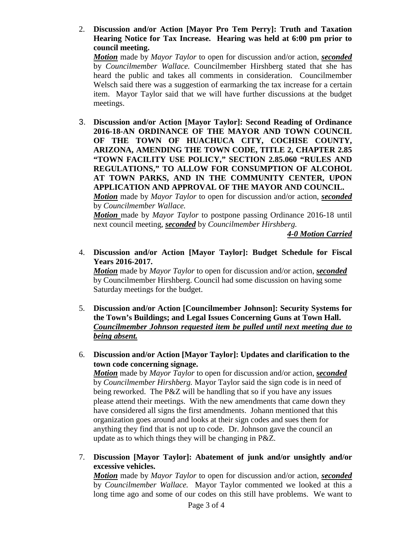2. **Discussion and/or Action [Mayor Pro Tem Perry]: Truth and Taxation Hearing Notice for Tax Increase. Hearing was held at 6:00 pm prior to council meeting.**

*Motion* made by *Mayor Taylor* to open for discussion and/or action, *seconded* by *Councilmember Wallace.* Councilmember Hirshberg stated that she has heard the public and takes all comments in consideration.Councilmember Welsch said there was a suggestion of earmarking the tax increase for a certain item. Mayor Taylor said that we will have further discussions at the budget meetings.

3. **Discussion and/or Action [Mayor Taylor]: Second Reading of Ordinance 2016-18-AN ORDINANCE OF THE MAYOR AND TOWN COUNCIL OF THE TOWN OF HUACHUCA CITY, COCHISE COUNTY, ARIZONA, AMENDING THE TOWN CODE, TITLE 2, CHAPTER 2.85 "TOWN FACILITY USE POLICY," SECTION 2.85.060 "RULES AND REGULATIONS," TO ALLOW FOR CONSUMPTION OF ALCOHOL AT TOWN PARKS, AND IN THE COMMUNITY CENTER, UPON APPLICATION AND APPROVAL OF THE MAYOR AND COUNCIL.** *Motion* made by *Mayor Taylor* to open for discussion and/or action, *seconded*

by *Councilmember Wallace. Motion* made by *Mayor Taylor* to postpone passing Ordinance 2016-18 until next council meeting, *seconded* by *Councilmember Hirshberg.*

*4-0 Motion Carried*

4. **Discussion and/or Action [Mayor Taylor]: Budget Schedule for Fiscal Years 2016-2017.** 

*Motion* made by *Mayor Taylor* to open for discussion and/or action, *seconded* by Councilmember Hirshberg. Council had some discussion on having some Saturday meetings for the budget.

- 5. **Discussion and/or Action [Councilmember Johnson]: Security Systems for the Town's Buildings; and Legal Issues Concerning Guns at Town Hall.**  *Councilmember Johnson requested item be pulled until next meeting due to being absent.*
- 6. **Discussion and/or Action [Mayor Taylor]: Updates and clarification to the town code concerning signage.**

*Motion* made by *Mayor Taylor* to open for discussion and/or action, *seconded* by *Councilmember Hirshberg.* Mayor Taylor said the sign code is in need of being reworked. The P&Z will be handling that so if you have any issues please attend their meetings. With the new amendments that came down they have considered all signs the first amendments. Johann mentioned that this organization goes around and looks at their sign codes and sues them for anything they find that is not up to code. Dr. Johnson gave the council an update as to which things they will be changing in P&Z.

7. **Discussion [Mayor Taylor]: Abatement of junk and/or unsightly and/or excessive vehicles.**

*Motion* made by *Mayor Taylor* to open for discussion and/or action, *seconded* by *Councilmember Wallace.* Mayor Taylor commented we looked at this a long time ago and some of our codes on this still have problems. We want to